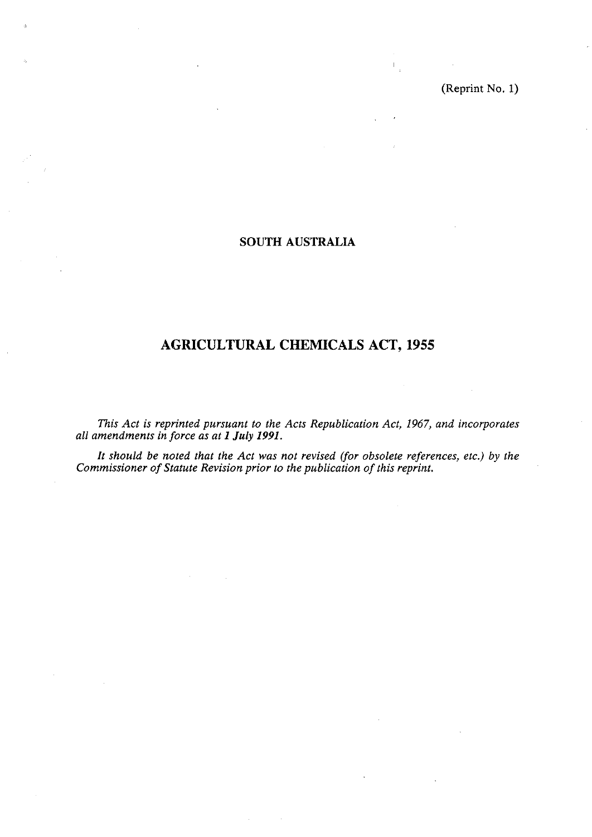(Reprint No. **1)** 

 $\frac{1}{4}$ 

## **SOUTH AUSTRALIA**

# **AGRICULTURAL CHEMICALS ACT, 1955**

*This Act is reprinted pursuant to the Acts Republication Act, 1967, and incorporates all amendments in force as at I July 1991.* 

*It should be noted that the Act was not revised (jor obsolete references, etc.) by the Commissioner of Statute Revision prior to the publication of this reprint.*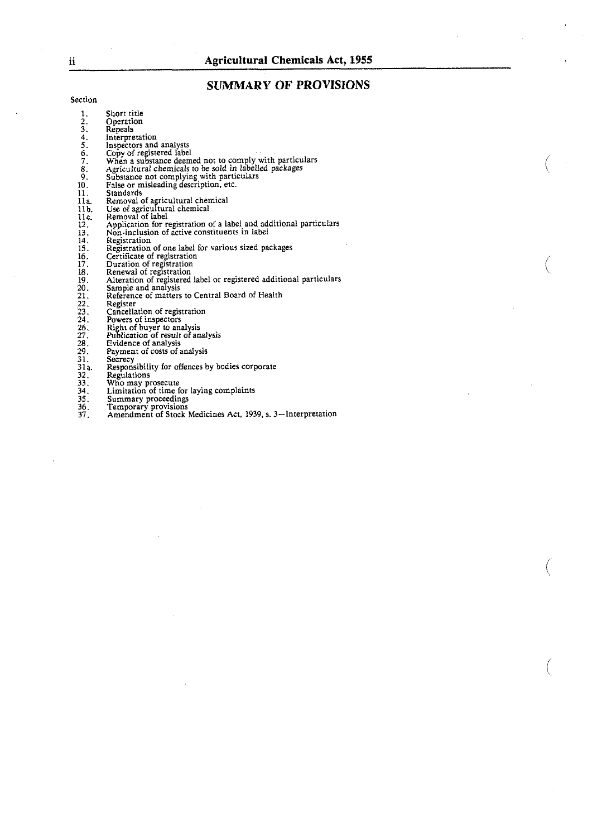## **SUMMARY OF PROVISIONS**

Section

| 1.                       | Short title                                                         |
|--------------------------|---------------------------------------------------------------------|
|                          | Operation                                                           |
|                          | Repeals                                                             |
|                          | Interpretation                                                      |
|                          | Inspectors and analysts                                             |
|                          | Copy of registered label                                            |
|                          | When a substance deemed not to comply with particulars              |
|                          | Agricultural chemicals to be sold in labelled packages              |
| 2.3.45.67.8.9.           | Substance not complying with particulars                            |
| 10.                      | False or misleading description, etc.                               |
| 11.                      | Standards                                                           |
| 11a.                     | Removal of agricultural chemical                                    |
|                          | Use of agricultural chemical                                        |
| 11b.<br>11c.             | Removal of label                                                    |
|                          | Application for registration of a label and additional particulars  |
| 12.<br>13.<br>14.<br>15. | Non-inclusion of active constituents in label                       |
|                          | Registration                                                        |
|                          | Registration of one label for various sized packages                |
|                          | Certificate of registration                                         |
| $\frac{16}{17}$ .        | Duration of registration                                            |
| 18.                      | Renewal of registration                                             |
| 19.                      | Alteration of registered label or registered additional particulars |
| 20.                      | Sample and analysis                                                 |
| 21.                      | Reference of matters to Central Board of Health                     |
| 22,                      | Register                                                            |
| 23.                      | Cancellation of registration                                        |
| 24.                      | Powers of inspectors                                                |
| ንሩ.                      | Dight of huwer to analysis                                          |

- 
- Right of buyer to analysis<br>Publication of result of analysis<br>Evidence of analysis
- 
- Payment of costs of analysis
- 
- Secrecy Responsibility for offences by bodies corporate
- 
- 
- Regulations<br>Who may prosecute<br>Limitation of time for laying complaints<br>Summary proceedings
- 
- 
- Summary proceedings<br>Temporary provisions<br>Amendment of Stock Medicines Act, 1939, s. 3—Interpretation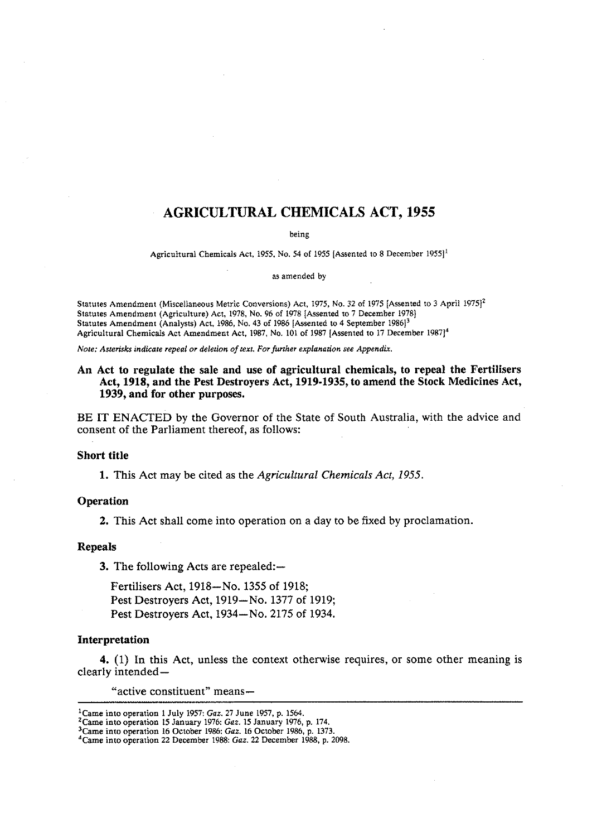## **AGRICULTURAL CHEMICALS ACT, 1955**

being

Agricultural Chemicals Act, 1955, No. 54 of 1955 [Assented to 8 December 1955]<sup>1</sup>

#### as amended by

Statutes Amendment (Miscellaneous Metric Conversions) Act, 1975, No. 32 of 1975 [Assented to 3 April 1975]<sup>2</sup> Statutes Amendment (Agriculture) Act, 1978, No. 96 of 1978 [Assented to 7 December 1978) Statutes Amendment (Analysts) Act, 1986, No. 43 of 1986 [Assented to 4 September 1986]<sup>3</sup> Agricultural Chemicals Act Amendment Act, 1987, No. 101 of 1987 [Assented to 17 December 1987]<sup>4</sup>

*Note: Asterisks indicate repeal or deletion of text. For further explanarion see Appendix.* 

## An Act to regulate the sale and use of agricultural chemicals, to repeal the Fertilisers Act, **1918,** and the Pest Destroyers Act, **1919-1935,** to amend the Stock Medicines Act, **1939,** and for other purposes.

BE IT ENACTED by the Governor of the State of South Australia, with the advice and consent of the Parliament thereof, as follows:

#### Short title

**1.** This Act may be cited as the *Agricultural Chemicals Act, 1955.* 

### Operation

2. This Act shall come into operation on a day to be fixed by proclamation.

#### Repeals

**3.** The following Acts are repealed:—

Fertilisers Act, 1918-No. 1355 of 1918; Pest Destroyers Act, 1919-No. 1377 of 1919; Pest Destroyers Act, 1934-No. 2175 of 1934.

#### Interpretation

4. (1) In this Act, unless the context otherwise requires, or some other meaning is clearly intended-

"active constituent" means-

<sup>&#</sup>x27;Came into operation 1 July 1957: *Gaz.* 27 June 1957, p. 1564.

<sup>&</sup>lt;sup>2</sup> Came into operation 15 January 1976: *Gaz.* 15 January 1976, p. 174.

<sup>&#</sup>x27;Came into operation 16 October 1986: *Gaz.* 16 October 1986, p. 1373.

<sup>&#</sup>x27;Came into operation 22 December 1988: *Gaz.* 22 December 1988. p. 2098.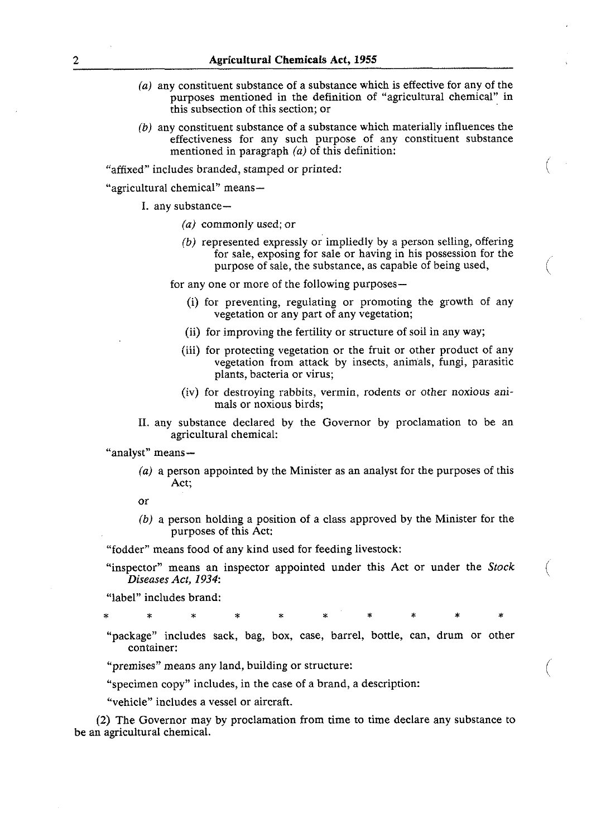- *(a)* any constituent substance of a substance which is effective for any of the purposes mentioned in the definition of "agricultural chemical" in this subsection of this section; or
- $(b)$  any constituent substance of a substance which materially influences the effectiveness for any such purpose of any constituent substance mentioned in paragraph *(a)* of this definition:

"affixed" includes branded, stamped or printed:

"agricultural chemical" means-

- I. any substance-
	- *(a)* commonly used; or
	- *(b)* represented expressly or impliedly by a person selling, offering for sale, exposing for sale or having in his possession for the purpose of sale, the substance, as capable of being used,

 $\left($ 

for any one or more of the following purposes—

- (i) for preventing, regulating or promoting the growth of any vegetation or any part of any vegetation;
- (ii) for improving the fertility or structure of soil in any way;
- (iii) for protecting vegetation or the fruit or other product of any vegetation from attack by insects, animals, fungi, parasitic plants, bacteria or virus;
- (iv) for destroying rabbits, vermin, rodents or other noxious animals or noxious birds;
- **11.** any substance declared by the Governor by proclamation to be an agricultural chemical:

"analyst" means-

*(a)* a person appointed by the Minister as an analyst for the purposes of this Act;

or

*(b)* a person holding a position of a class approved by the Minister for the purposes of this Act:

"fodder" means food of any kind used for feeding livestock:

"inspector" means an inspector appointed under this Act or under the *Stock Diseases Act*, 1934:

"label" includes brand:

\* \* \* \* \* \* \* \* \* \*

"package" includes sack, bag, box, case, barrel, bottle, can, drum or other container:

"premises" means any land, building or structure:

"specimen copy" includes, in the case of a brand, a description:

"vehicle" includes a vessel or aircraft.

(2) The Governor may by proclamation from time to time declare any substance to be an agricultural chemical.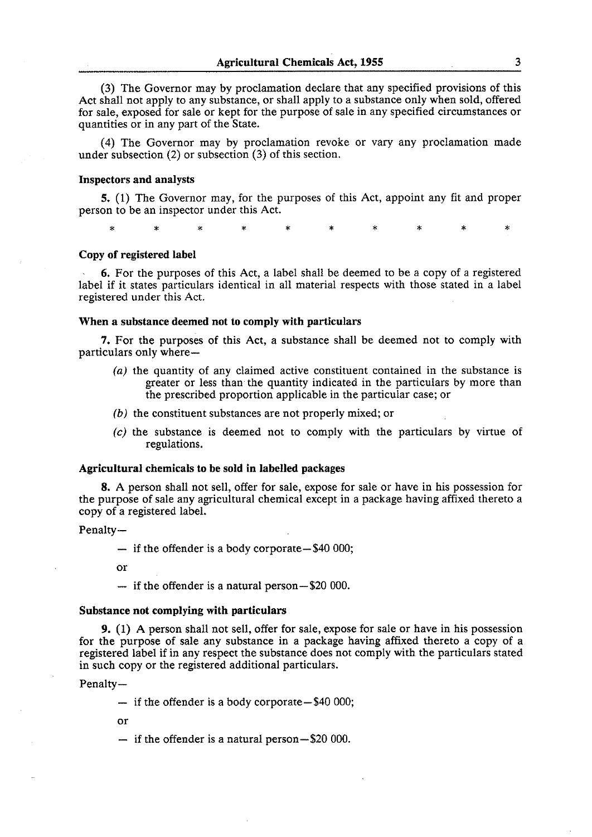**(3)** The Governor may by proclamation declare that any specified provisions of this Act shall not apply to any substance, or shall apply to a substance only when sold, offered for sale, exposed for sale or kept for the purpose of sale in any specified circumstances or quantities or in any part of the State.

(4) The Governor may by proclamation revoke or vary any proclamation made under subsection (2) or subsection **(3)** of this section.

## **Inspectors and analysts**

5. (1) The Governor may, for the purposes of this Act, appoint any fit and proper person to be an inspector under this Act.

\* \* \* \* \* \* \* \* \* \*

#### **Copy of registered label**

**6.** For the purposes of this Act, a label shall be deemed to be a copy of a registered label if it states particulars identical in all material respects with those stated in a label registered under this Act.

#### **When a substance deemed not to comply with particulars**

7. For the purposes of this Act, a substance shall be deemed not to comply with particulars only where-

- (a) the quantity of any claimed active constituent contained in the substance is greater or less than the quantity indicated in the particulars by more than the prescribed proportion applicable in the particular case; or
- **(b)** the constituent substances are not properly mixed; or
- (c) the substance is deemed not to comply with the particulars by virtue of regulations.

#### **Agricultural chemicals to be sold in labelled packages**

**8.** A person shall not sell, offer for sale, expose for sale or have in his possession for the purpose of sale any agricultural chemical except in a package having affixed thereto a copy of a registered label.

#### Penalty-

 $-$  if the offender is a body corporate $-$ \$40 000;

or

- if the offender is a natural person-\$20 000.

## **Substance not complying with particulars**

**9. (1)** A person shall not sell, offer for sale, expose for sale or have in his possession for the purpose of sale any substance in a package having affixed thereto a copy of a registered label if in any respect the substance does not comply with the particulars stated in such copy or the registered additional particulars.

Penalty-

 $-$  if the offender is a body corporate $-$ \$40 000;

or

 $-$  if the offender is a natural person $-$ \$20 000.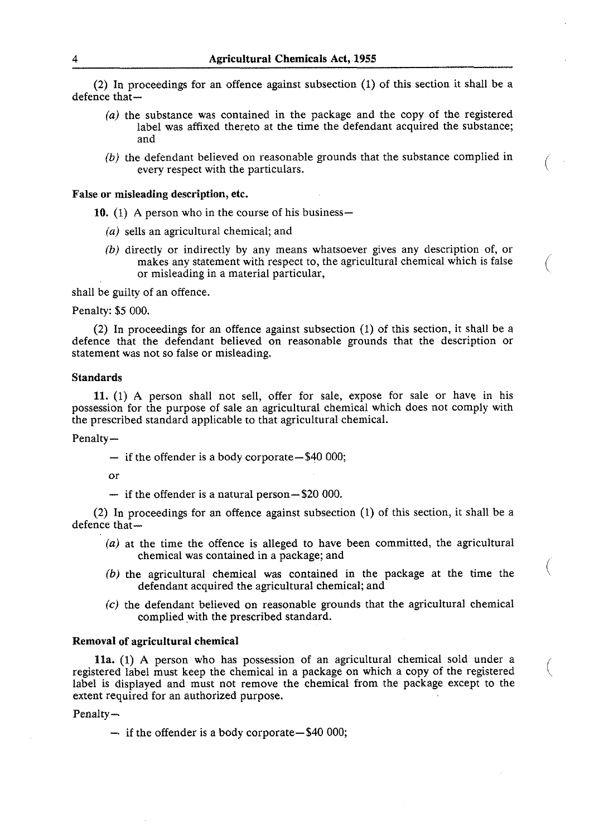(2) In proceedings for an offence against subsection (1) of this section it shall be a defence that-

- **(a)** the substance was contained in the package and the copy of the registered label was affixed thereto at the time the defendant acquired the substance; and
- (b) the defendant believed on reasonable grounds that the substance complied in every respect with the particulars.

#### False or misleading description, etc.

10. **(1)** A person who in the course of his business-

- **(a)** sells an agricultural chemical; and
- **(b)** directly or indirectly by any means whatsoever gives any description of, or makes any statement with respect to, the agricultural chemical which is false or misleading in a material particular, (

shall be guilty of an offence.

Penalty: \$5 000.

(2) In proceedings for an offence against subsection (1) of this section, it shall be a defence that the defendant believed on reasonable grounds that the description or statement was not so false or misleading.

#### Standards

11. (1) A person shall not sell, offer for sale, expose for sale or have in his possession for the purpose of sale an agricultural chemical which does not comply with the prescribed standard applicable to that agricultural chemical.

Penalty-

 $-$  if the offender is a body corporate $-$ \$40 000;

or<br>- if the offender is a natural person-\$20 000.

(2) In proceedings for an offence against subsection (1) of this section, it shall be a defence that-

- **(a)** at the time the offence is alleged to have been committed, the agricultural chemical was contained in a package; and /
- **(b)** the agricultural chemical was contained in the package at the time the \ defendant acquired the agricultural chemical; and
- **(c)** the defendant believed on reasonable grounds that the agricultural chemical complied with the prescribed standard.

 $\left(\right)$ 

#### Removal **of** agricultural chemical

lla. (1) A person who has possession of an agricultural chemical sold under a registered label must keep the chemical in a package on which a copy of the registered label is displayed and must not remove the chemical from the package except to the extent required for an authorized purpose.

Penalty-

 $-$  if the offender is a body corporate $-$ \$40 000;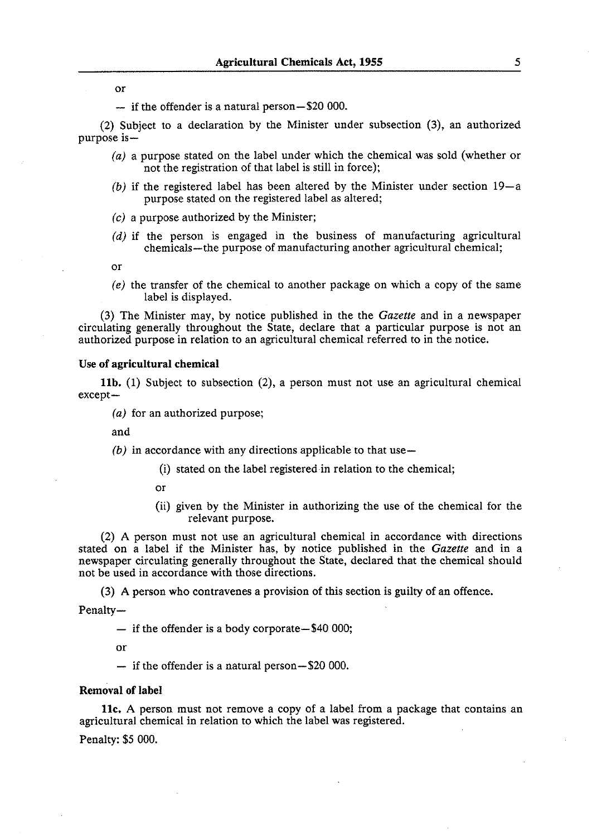or<br> $-$  if the offender is a natural person-\$20 000.

(2) Subject to a declaration by the Minister under subsection (3), an authorized purpose is-

- *(a)* a purpose stated on the label under which the chemical was sold (whether or not the registration of that label is still in force);
- *(b)* if the registered label has been altered by the Minister under section 19-a purpose stated on the registered label as altered;
- *(c)* a purpose authorized by the Minister;
- (d) if the person is engaged in the business of manufacturing agricultural chemicals-the purpose of manufacturing another agricultural chemical;

or

*(e)* the transfer of the chemical to another package on which a copy of the same label is displayed.

**(3)** The Minister may, by notice published in the the *Gazette* and in a newspaper circulating generally throughout the State, declare that a particular purpose is not an authorized purpose in relation to an agricultural chemical referred to in the notice.

### **Use of agricultural chemical**

**llb. (1)** Subject to subsection (2), a person must not use an agricultural chemical except-

*(a)* for an authorized purpose;

and

*(b)* in accordance with any directions applicable to that use-

- (i) stated on the label registeredin relation to the chemical;
- or
- (ii) given by the Minister in authorizing the use of the chemical for the relevant purpose.

(2) A person must not use an agricultural chemical in accordance with directions stated on a label if the Minister has, by notice published in the *Gazette* and in a newspaper circulating generally throughout the State, declared that the chemical should not be used in accordance with those directions.

(3) A person who contravenes a provision of this section is guilty of an offence.

Penalty-

 $-$  if the offender is a body corporate $-$ \$40 000;

or

- if the offender is a natural person-\$20 000.

## **Removal of label**

**llc. A** person must not remove a copy of a label from a package that contains an agricultural chemical in relation to which the label was registered.

Penalty: \$5 000.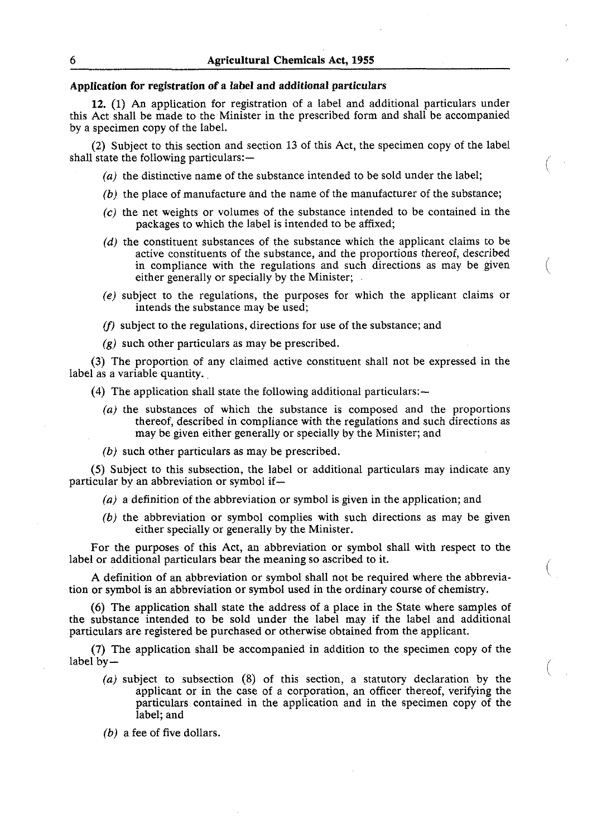## Application for registration of a label and additional particulars

12. (1) An application for registration of a label and additional particulars under this Act shall be made to the Minister in the prescribed form and shall be accompanied by a specimen copy of the label.

**(2)** Subject to this section and section 13 of this Act, the specimen copy of the label shall state the following particulars:-

- **(a)** the distinctive name of the substance intended to be sold under the label;
- **(b)** the place of manufacture and the name of the manufacturer of the substance;
- *(c)* the net weights or volumes of the substance intended to be contained in the packages to which the label is intended to be affixed;
- (d) the constituent substances of the substance which the applicant claims to be active constituents of the substance, and the proportions thereof, described in compliance with the regulations and such directions as may be given either generally or specially by the Minister; (
- *(e)* subject to the regulations, the purposes for which the applicant claims or intends the substance may be used;
- $(f)$  subject to the regulations, directions for use of the substance; and
- $(g)$  such other particulars as may be prescribed.

**(3)** The proportion of any claimed active constituent shall not be expressed in the label as a variable quantity.

(4) The application shall state the following additional particulars: $-$ 

- *(a)* the substances of which the substance is composed and the proportions thereof, described in compliance with the regulations and such directions as may be given either generally or specially by the Minister; and
- **(b)** such other particulars as may be prescribed.

(5) Subject to this subsection, the label or additional particulars may indicate any particular by an abbreviation or symbol if-

- **(a)** a definition of the abbreviation or symbol is given in the application; and
- **(b)** the abbreviation or symbol complies with such directions as may be given either specially or generally by the Minister.

For the purposes of this Act, an abbreviation or symbol shall with respect to the label or additional particulars bear the meaning so ascribed to it.

A definition of an abbreviation or symbol shall not be required where the abbrevia- ( tion or symbol is an abbreviation or symbol used in the ordinary course of chemistry.

(6) The application shall state the address of a place in the State where samples of the substance intended to be sold under the label may if the label and additional particulars are registered be purchased or otherwise obtained from the applicant.

**(7)** The application shall be accompanied in addition to the specimen copy of the label  $bv -$ 

- **(a)** subject to subsection (8) of this section, a statutory declaration by the ( applicant or in the case of a corporation, an officer thereof, verifying the particulars contained in the application and in the specimen copy of the label; and
- **(b)** a fee of five dollars.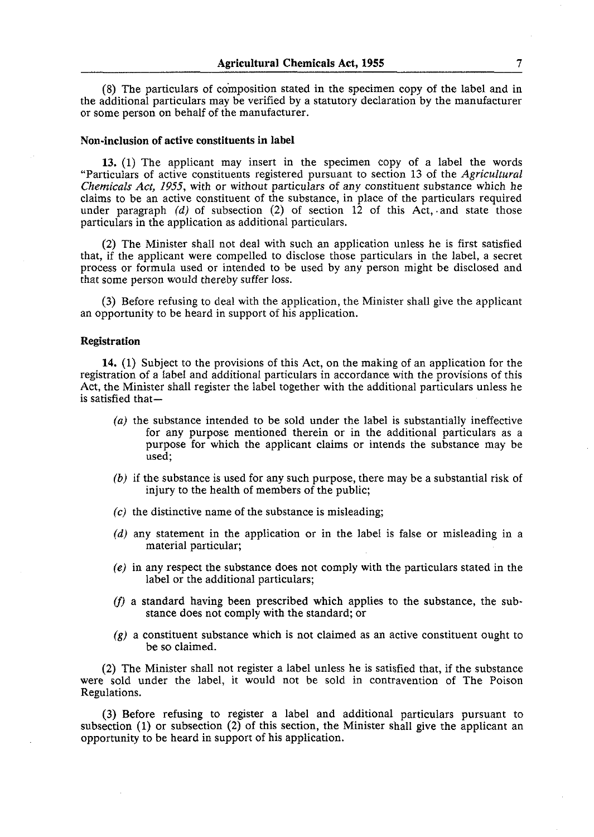(8) The particulars of coinposition stated in the specimen copy of the label and in the additional particulars may be verified by a statutory declaration by the manufacturer or some person on behalf of the manufacturer.

#### Non-inclusion of active constituents in label

**13. (1)** The applicant may insert in the specimen copy of a label the words "Particulars of active constituents registered pursuant to section **13** of the *Agricultural*  Chemicals *Act, 1955,* with or without particulars of any constituent substance which he claims to be an active constituent of the substance, in place of the particulars required under paragraph (d) of subsection  $(2)$  of section  $12$  of this Act, and state those particulars in the application as additional particulars.

**(2)** The Minister shall not deal with such an application unless he is first satisfied that, if the applicant were compelled to disclose those particulars in the label, a secret process or formula used or intended to be used by any person might be disclosed and that some person would thereby suffer loss.

**(3)** Before refusing to deal with the application, the Minister shall give the applicant an opportunity to be heard in support of his application.

#### Registration

**14. (1)** Subject to the provisions of this Act, on the making of an application for the registration of a label and additional particulars in accordance with the provisions of this Act, the Minister shall register the label together with the additional particulars unless he is satisfied that-

- *(a)* the substance intended to be sold under the label is substantially ineffective for any purpose mentioned therein or in the additional particulars as a purpose for which the applicant claims or intends the substance may be used;
- *(b)* if the substance is used for any such purpose, there may be a substantial risk of injury to the health of members of the public;
- $(c)$  the distinctive name of the substance is misleading;
- (d) any statement in the application or in the label is false or misleading in a material particular;
- *(e)* in any respect the substance does not comply with the particulars stated in the label or the additional particulars;
- (f) a standard having been prescribed which applies to the substance, the substance does not comply with the standard; or
- $(g)$  a constituent substance which is not claimed as an active constituent ought to be so claimed.

**(2)** The Minister shall not register a label unless he is satisfied that, if the substance were sold under the label, it would not be sold in contravention of The Poison Regulations.

**(3)** Before refusing to register a label and additional particulars pursuant to subsection (1) or subsection **(2)** of this section, the Minister shall give the applicant an opportunity to be heard in support of his application.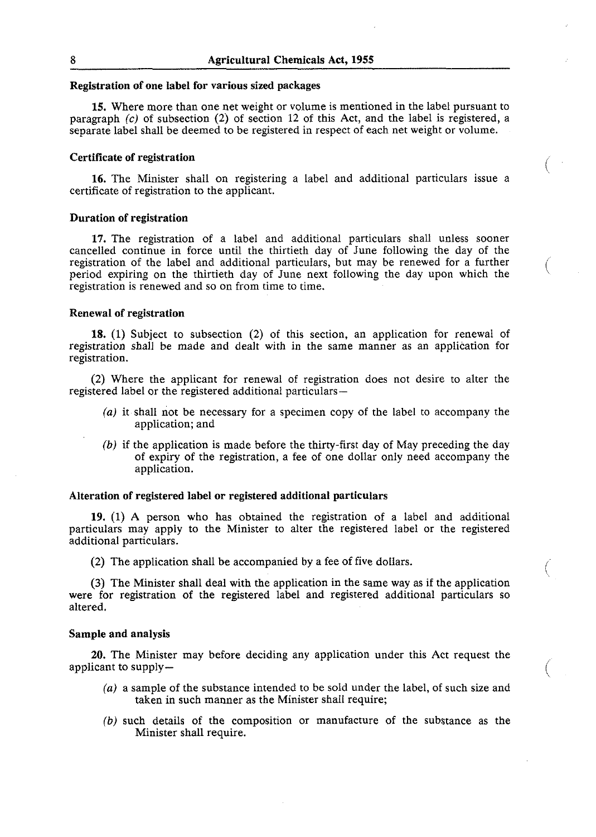### **Registration of one label for various sized packages**

**15.** Where more than one net weight or volume is mentioned in the label pursuant to paragraph (c) of subsection **(2)** of section **12** of this Act, and the label is registered, a separate label shall be deemed to be registered in respect of each net weight or volume.

## **Certificate of registration**

**16.** The Minister shall on registering a label and additional particulars issue a certificate of registration to the applicant.

### **Duration of registration**

**17.** The registration of a label and additional particulars shall unless sooner cancelled continue in force until the thirtieth day of June following the day of the registration of the label and additional particulars, but may be renewed for a further period expiring on the thirtieth day of June next following the day upon which the registration is renewed and so on from time to time.

#### **Renewal of registration**

**18. (1)** Subject to subsection **(2)** of this section, an application for renewal of registration shall be made and dealt with in the same manner as an application for registration.

**(2)** Where the applicant for renewal of registration does not desire to alter the registered label or the registered additional particulars-

- (a) it shall not be necessary for a specimen copy of the label to accompany the application; and
- *(b)* if the application is made before the thirty-first day of May preceding the day of expiry of the registration, a fee of one dollar only need accompany the application.

#### **Alteration of registered label or registered additional particulars**

**19. (1)** A person who has obtained the registration of a label and additional particulars may apply to the Minister to alter the registered label or the registered additional particulars.

**(2)** The application shall be accompanied by a fee of five dollars. i

**(3)** The Minister shall deal with the application in the same way as if the application were for registration of the registered label and registered additional particulars so altered.

\

#### **Sample and analysis**

**20.** The Minister may before deciding any application under this Act request the applicant to supply-

- (a) a sample of the substance intended to be sold under the label, of such size and taken in such manner as the Minister shall require;
- *(b)* such details of the composition or manufacture of the substance as the Minister shall require.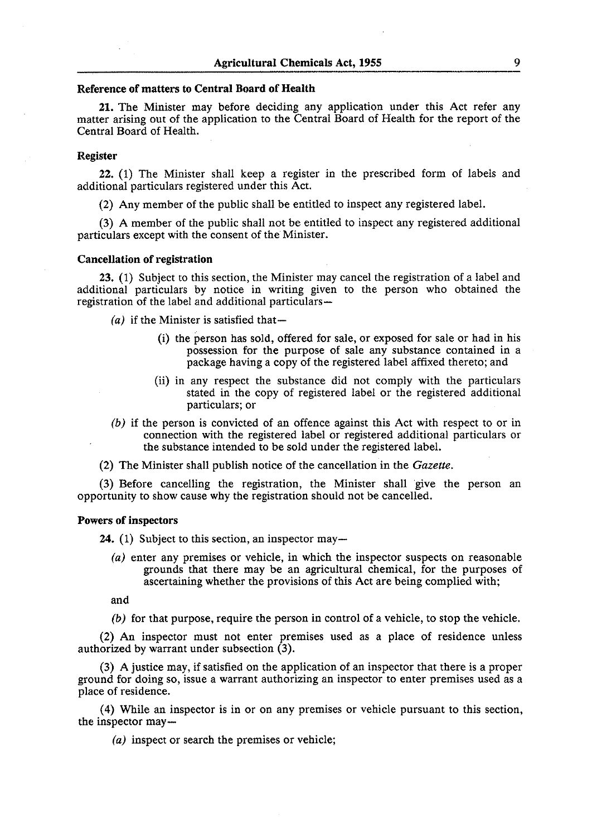#### Reference of matters to Central Board of Health

**21.** The Minister may before deciding any application under this Act refer any matter arising out of the application to the Central Board of Health for the report of the Central Board of Health.

## Register

**22.** (1) The Minister shall keep a register in the prescribed form of labels and additional particulars registered under this Act.

(2) Any member of the public shall be entitled to inspect any registered label.

(3) A member of the public shall not be entitled to inspect any registered additional particulars except with the consent of the' Minister.

#### Cancellation of registration

**23. (1)** Subject to this section, the Minister may cancel the registration of a label and additional particulars by notice in writing given to the person who obtained the registration of the label and additional particulars-

 $(a)$  if the Minister is satisfied that-

- (i) the person has sold, offered for sale, or exposed for sale or had in his possession for the purpose of sale any substance contained in a package having a copy of the registered label affixed thereto; and
- (ii) in any respect the substance did not comply with the particulars stated in the copy of registered label or the registered additional particulars; or
- (b) if the person is convicted of an offence against this Act with respect to or in connection with the registered label or registered additional particulars or the substance intended to be sold under the registered label.

(2) The Minister shall publish notice of the cancellation in the *Gazette.* 

(3) Before cancelling the registration, the Minister shall give the person an opportunity to show cause why the registration should not be cancelled.

## Powers of inspectors

**24.** (1) Subject to this section, an inspector may—

(a) enter any premises or vehicle, in which the inspector suspects on reasonable grounds that there may be an agricultural chemical, for the purposes of ascertaining whether the provisions of this Act are being complied with;

and

*(b)* for that purpose, require the person in control of a vehicle, to stop the vehicle.

(2) An inspector must not enter premises used as a place of residence unless authorized by warrant under subsection **(3).** 

(3) A justice may, if satisfied on the application of an inspector that there is a proper ground for doing so, issue a warrant authorizing an inspector to enter premises used as a place of residence.

(4) While an inspector is in or on any premises or vehicle pursuant to this section, the inspector may-

(a) inspect or search the premises or vehicle;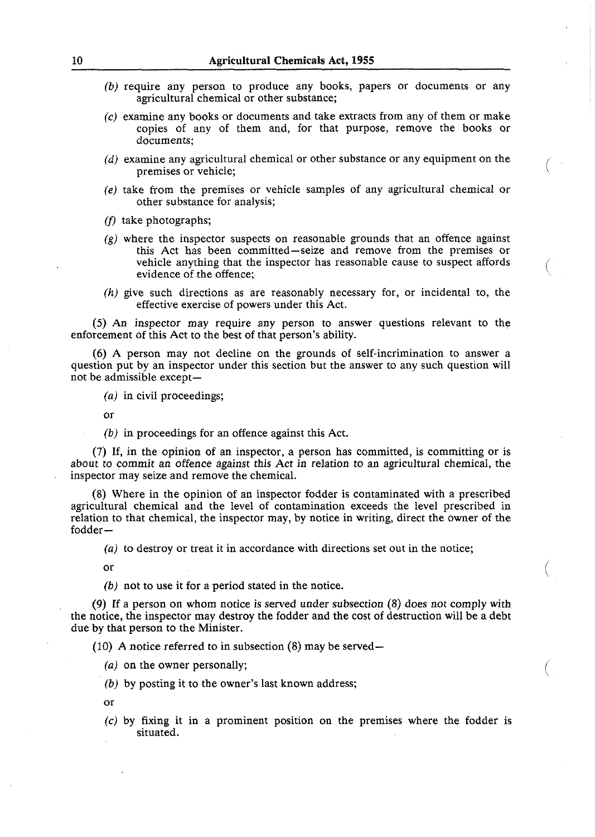- **(b)** require any person to produce any books, papers or documents or any agricultural chemical or other substance;
- **(c)** examine any books or documents and take extracts from any of them or make copies of any of them and, for that purpose, remove the books or documents;
- (d) examine any agricultural chemical or other substance or any equipment on the premises or vehicle;
- *(e)* take from the premises or vehicle samples of any agricultural chemical or other substance for analysis;
- (f) take photographs;
- $(g)$  where the inspector suspects on reasonable grounds that an offence against this Act has been committed—seize and remove from the premises or vehicle anything that the inspector has reasonable cause to suspect affords evidence of the offence; vehicle anything that the inspector has reasonable cause to suspect affords
- (h) give such directions as are reasonably necessary for, or incidental to, the effective exercise of powers under this Act.

(5) An inspector may require any person to answer questions relevant to the enforcement of this Act to the best of that person's ability.

*(6)* A person may not decline on the grounds of self-incrimination to answer a question put by an inspector under this section but the answer to any such question will not be admissible except-

**(a)** in civil proceedings;

or

(b) in proceedings for an offence against this Act.

(7) If, in the opinion of an inspector, a person has committed, is committing or is about to commit an offence against this Act in relation to an agricultural chemical, the inspector may seize and remove the chemical.

(8) Where in the opinion of an inspector fodder is contaminated with a prescribed agricultural chemical and the level of contamination exceeds the level prescribed in relation to that chemical, the inspector may, by notice in writing, direct the owner of the fodder-

(a) to destroy or treat it in accordance with directions set out in the notice;

or

*(b)* not to use it for a period stated in the notice.

(9) If a person on whom notice is served under subsection (8) does not comply with the notice, the inspector may destroy the fodder and the cost of destruction will be a debt due by that person to the Minister.

(10) A notice referred to in subsection  $(8)$  may be served-

**(a)** on the owner personally;

**(b)** by posting it to the owner's last known address;

or

(c) by fixing it in a prominent position on the premises where the fodder is situated.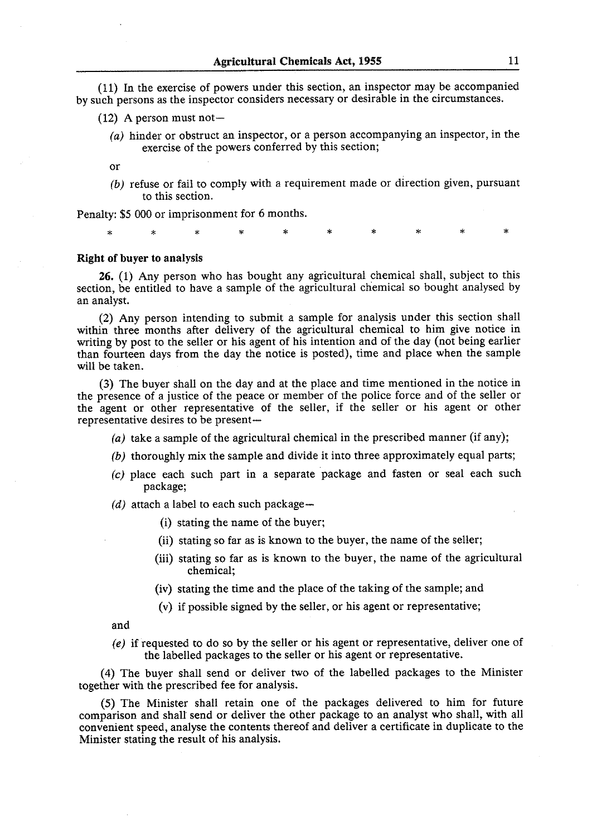(11) In the exercise of powers under this section, an inspector may be accompanied by such persons as the inspector considers necessary or desirable in the circumstances.

- $(12)$  A person must not-
	- $(a)$  hinder or obstruct an inspector, or a person accompanying an inspector, in the exercise of the powers conferred by this section;
	- $\alpha$ r
	- *(b)* refuse or fail to comply with a requirement made or direction given, pursuant to this section.

Penalty: \$5 000 or imprisonment for 6 months.

sk.

## **Right of buyer to analysis**

**26.** (1) Any person who has bought any agricultural chemical shall, subject to this section, be entitled to have a sample of the agricultural chemical so bought analysed by an analyst.

(2) Any person intending to submit a sample for analysis under this section shall within three months after delivery of the agricultural chemical to him give notice in writing by post to the seller or his agent of his intention and of the day (not being earlier than fourteen days from the day the notice is posted), time and place when the sample will be taken.

**(3)** The buyer shall on the day and at the place and time mentioned in the notice in the presence of a justice of the peace or member of the police force and of the seller or the agent or other representative of the seller, if the seller or his agent or other representative desires to be present-

- (a) take a sample of the agricultural chemical in the prescribed manner (if any);
- *(b)* thoroughly mix the sample and divide it into three approximately equal parts;
- *(c)* place each such part in a separate package and fasten or seal each such package;

 $(d)$  attach a label to each such package-

- (i) stating the name of the buyer;
- (ii) stating so far as is known to the buyer, the name of the seller;
- (iii) stating so far as is known to the buyer, the name of the agricultural chemical;
- (iv) stating the time and the place of the taking of the sample; and
- (v) if possible signed by the seller, or his agent or representative;

and

*(e)* if requested to do so by the seller or his agent or representative, deliver one of the labelled packages to the seller or his agent or representative.

(4) The buyer shall send or deliver two of the labelled packages to the Minister together with the prescribed fee for analysis.

(5) The Minister shall retain one of the packages delivered to him for future comparison and shall send or deliver the other package to an analyst who shall, with all convenient speed, analyse the contents thereof and deliver a certificate in duplicate to the Minister stating the result of his analysis.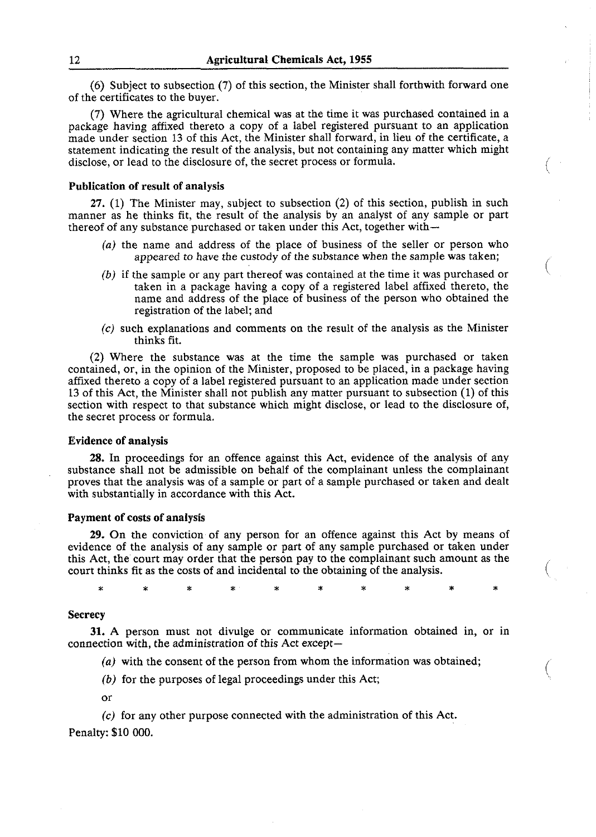(6) Subject to subsection (7) of this section, the Minister shall forthwith forward one of the certificates to the buyer.

(7) Where the agricultural chemical was at the time it was purchased contained in a package having affixed thereto a copy of a label registered pursuant to an application made under section 13 of this Act, the Minister shall forward, in lieu of the certificate, a statement indicating the result of the analysis, but not containing any matter which might disclose, or lead to the disclosure of, the secret process or formula.

## Publication of result of analysis

**27.** (1) The Minister may, subject to subsection (2) of this section, publish in such manner as he thinks fit, the result of the analysis by an analyst of any sample or part thereof of any substance purchased or taken under this Act, together with-

- (a) the name and address of the place of business of the seller or person who appeared to have the custody of the substance when the sample was taken;
- (b) if the sample or any part thereof was contained at the time it was purchased or taken in a package having a copy of a registered label affixed thereto, the name and address of the place of business of the person who obtained the registration of the label; and
- **(c)** such explanations and comments on the result of the analysis as the Minister thinks fit.

(2) Where the substance was at the time the sample was purchased or taken contained, or, in the opinion of the Minister, proposed to be placed, in a package having affixed thereto a copy of a label registered pursuant to an application made under section 13 of this Act, the Minister shall not publish any matter pursuant to subsection (1) of this section with respect to that substance which might disclose, or lead to the disclosure of, the secret process or formula.

#### Evidence of analysis

**28.** In proceedings for an offence against this Act, evidence of the analysis of any substance shall not be admissible on behalf of the complainant unless the complainant proves that the analysis was of a sample or part of a sample purchased or taken and dealt with substantially in accordance with this Act.

### Payment of costs of analysis

**29.** On the conviction of any person for an offence against this Act by means of evidence of the analysis of any sample or part of any sample purchased or taken under this Act, the court may order that the person pay to the complainant such amount as the court thinks fit as the costs of and incidental to the obtaining of the analysis.

÷

#### **Secrecy**

ż

**31.** A person must not divulge or communicate information obtained in, or in connection with, the administration of this Act except-

- (a) with the consent of the person from whom the information was obtained;
- *(b)* for the purposes of legal proceedings under this Act;
- or

*(c)* for any other purpose connected with the administration of this Act. Penalty: \$10 000.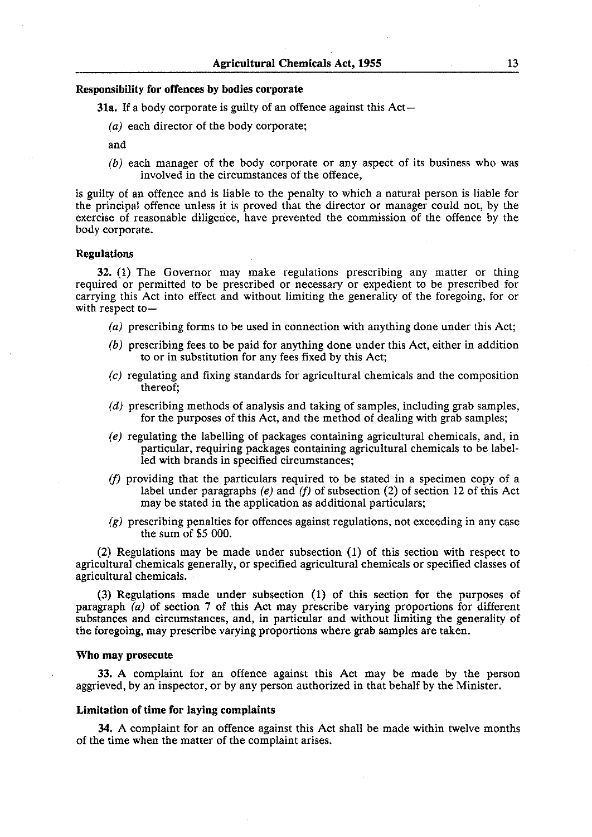#### **Responsibility for offences by bodies corporate**

**31a.** If a body corporate is guilty of an offence against this Act-

(a) each director of the body corporate;

and

*(b)* each manager of the body corporate or any aspect of its business who was involved in the circumstances of the offence,

is guilty of an offence and is liable to the penalty to which a natural person is liable for the principal offence unless it is proved that the director or manager could not, by the exercise of reasonable diligence, have prevented the commission of the offence by the body corporate.

#### **Regulations**

**32.** (1) The Governor may make regulations prescribing any matter or thing required or permitted to be prescribed or necessary or expedient to be prescribed for carrying this Act into effect and without limiting the generality of the foregoing, for or with respect to  $-$ 

- (a) prescribing forms to be used in connection with anything done under this Act;
- *(b)* prescribing fees to be paid for anything done under this Act, either in addition to or in substitution for any fees fixed by this Act;
- *(c)* regulating and fixing standards for agricultural chemicals and the composition thereof;
- *(d)* prescribing methods of analysis and taking of samples, including grab samples, for the purposes of this Act, and the method of dealing with grab samples;
- *(e)* regulating the labelling of packages containing agricultural chemicals, and, in particular, requiring packages containing agricultural chemicals to be labelled with brands in specified circumstances;
- (f) providing that the particulars required to be stated in a specimen copy of a label under paragraphs *(e)* and (f) of subsection (2) of section 12 of this Act may be stated in the application as additional particulars;
- **(g)** prescribing penalties for offences against regulations, not exceeding in any case the sum of \$5 000.

(2) Regulations may be made under subsection (1) of this section with respect to agricultural chemicals generally, or specified agricultural chemicals or specified classes of agricultural chemicals.

(3) Regulations made under subsection (1) of this section for the purposes of paragraph (a) of section **7** of this Act may prescribe varying proportions for different substances and circumstances, and, in particular and without limiting the generality of the foregoing, may prescribe varying proportions where grab samples are taken.

#### **Who may prosecute**

**33.** A complaint for an offence against this Act may be made by the person aggrieved, by an inspector, or by any person authorized in that behalf by the Minister.

#### **Limitation of time for laying complaints**

**34.** A complaint for an offence against this Act shall be made within twelve months of the time when the matter of the complaint arises.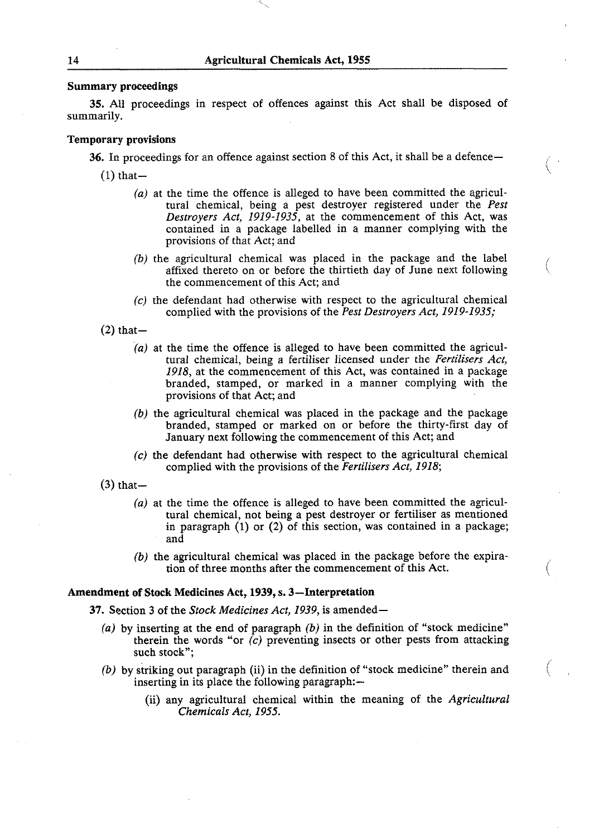## Summary proceedings

**35.** All proceedings in respect of offences against this Act shall be disposed of summarily.

### Temporary provisions

36. In proceedings for an offence against section 8 of this Act, it shall be a defence-

 $(1)$  that  $-$ 

- *(a)* at the time the offence is alleged to have been committed the agricultural chemical, being a pest destroyer registered under the *Pest Destroyers Act, 1919-1935,* at the commencement of this Act, was contained in a package labelled in a manner complying with the provisions of that Act; and
- *(b)* the agricultural chemical was placed in the package and the label affixed thereto on or before the thirtieth day of June next following the commencement of this Act; and
- *(c)* the defendant had otherwise with respect to the agricultural chemical complied with the provisions of the *Pest Destroyers Act, 1919-1935;*

 $(2)$  that-

- *(a)* at the time the offence is alleged to have been committed the agricultural chemical, being a fertiliser licensed under the *Fertilisers Act, 1918,* at the commencement of this Act, was contained in a package branded, stamped, or marked in a manner complying with the provisions of that Act; and
- *(b)* the agricultural chemical was placed in the package and the package branded, stamped or marked on or before the thirty-first day of January next following the commencement of this Act; and
- *{c)* the defendant had otherwise with respect to the agricultural chemical complied with the provisions of the *Fertilisers Act, 1918;*

 $(3)$  that-

- *{a)* at the time the offence is alleged to have been committed the agricultural chemical, not being a pest destroyer or fertiliser as mentioned in paragraph  $(1)$  or  $(2)$  of this section, was contained in a package; and
- *(b)* the agricultural chemical was placed in the package before the expiration of three months after the commencement of this Act.

#### Amendment of Stock Medicines Act, **1939,** s. 3-Interpretation

37. Section **3** of the *Stock Medicines Act, 1939,* is amended-

- *(a)* by inserting at the end of paragraph *(b)* in the definition of "stock medicine" therein the words "or  $\hat{c}$ ) preventing insects or other pests from attacking such stock";
- (b) by striking out paragraph (ii) in the definition of "stock medicine" therein and inserting in its place the following paragraph:—
	- (ii) any agricultural chemical within the meaning of the *Agricultural Chemicals Act, 1955.*